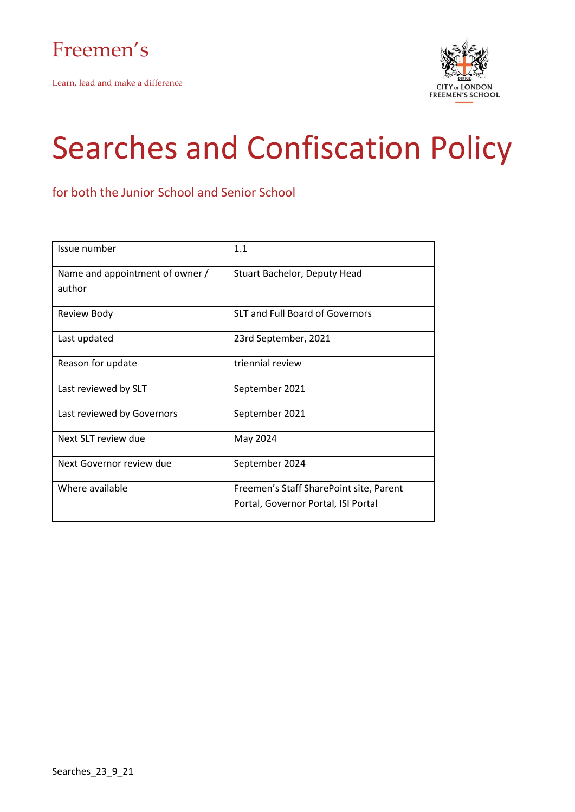

Learn, lead and make a difference



# Searches and Confiscation Policy

for both the Junior School and Senior School

| Issue number                    | 1.1                                     |  |  |
|---------------------------------|-----------------------------------------|--|--|
| Name and appointment of owner / | Stuart Bachelor, Deputy Head            |  |  |
| author                          |                                         |  |  |
| Review Body                     | SLT and Full Board of Governors         |  |  |
| Last updated                    | 23rd September, 2021                    |  |  |
| Reason for update               | triennial review                        |  |  |
| Last reviewed by SLT            | September 2021                          |  |  |
| Last reviewed by Governors      | September 2021                          |  |  |
| Next SLT review due             | May 2024                                |  |  |
| Next Governor review due        | September 2024                          |  |  |
| Where available                 | Freemen's Staff SharePoint site, Parent |  |  |
|                                 | Portal, Governor Portal, ISI Portal     |  |  |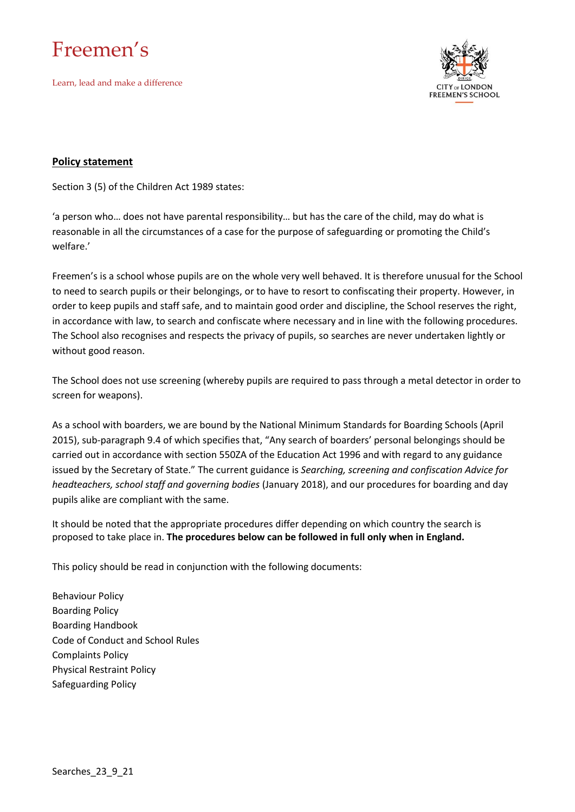Learn, lead and make a difference



#### **Policy statement**

Section 3 (5) of the Children Act 1989 states:

'a person who… does not have parental responsibility… but has the care of the child, may do what is reasonable in all the circumstances of a case for the purpose of safeguarding or promoting the Child's welfare.'

Freemen's is a school whose pupils are on the whole very well behaved. It is therefore unusual for the School to need to search pupils or their belongings, or to have to resort to confiscating their property. However, in order to keep pupils and staff safe, and to maintain good order and discipline, the School reserves the right, in accordance with law, to search and confiscate where necessary and in line with the following procedures. The School also recognises and respects the privacy of pupils, so searches are never undertaken lightly or without good reason.

The School does not use screening (whereby pupils are required to pass through a metal detector in order to screen for weapons).

As a school with boarders, we are bound by the National Minimum Standards for Boarding Schools (April 2015), sub-paragraph 9.4 of which specifies that, "Any search of boarders' personal belongings should be carried out in accordance with section 550ZA of the Education Act 1996 and with regard to any guidance issued by the Secretary of State." The current guidance is *Searching, screening and confiscation Advice for headteachers, school staff and governing bodies* (January 2018), and our procedures for boarding and day pupils alike are compliant with the same.

It should be noted that the appropriate procedures differ depending on which country the search is proposed to take place in. **The procedures below can be followed in full only when in England.**

This policy should be read in conjunction with the following documents:

Behaviour Policy Boarding Policy Boarding Handbook Code of Conduct and School Rules Complaints Policy Physical Restraint Policy Safeguarding Policy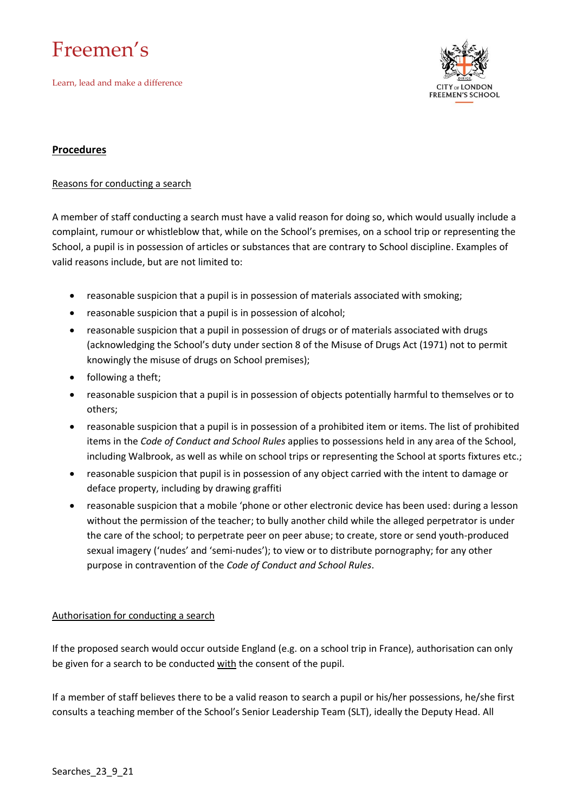Learn, lead and make a difference



#### **Procedures**

#### Reasons for conducting a search

A member of staff conducting a search must have a valid reason for doing so, which would usually include a complaint, rumour or whistleblow that, while on the School's premises, on a school trip or representing the School, a pupil is in possession of articles or substances that are contrary to School discipline. Examples of valid reasons include, but are not limited to:

- reasonable suspicion that a pupil is in possession of materials associated with smoking;
- reasonable suspicion that a pupil is in possession of alcohol;
- reasonable suspicion that a pupil in possession of drugs or of materials associated with drugs (acknowledging the School's duty under section 8 of the Misuse of Drugs Act (1971) not to permit knowingly the misuse of drugs on School premises);
- following a theft;
- reasonable suspicion that a pupil is in possession of objects potentially harmful to themselves or to others;
- reasonable suspicion that a pupil is in possession of a prohibited item or items. The list of prohibited items in the *Code of Conduct and School Rules* applies to possessions held in any area of the School, including Walbrook, as well as while on school trips or representing the School at sports fixtures etc.;
- reasonable suspicion that pupil is in possession of any object carried with the intent to damage or deface property, including by drawing graffiti
- reasonable suspicion that a mobile 'phone or other electronic device has been used: during a lesson without the permission of the teacher; to bully another child while the alleged perpetrator is under the care of the school; to perpetrate peer on peer abuse; to create, store or send youth-produced sexual imagery ('nudes' and 'semi-nudes'); to view or to distribute pornography; for any other purpose in contravention of the *Code of Conduct and School Rules*.

#### Authorisation for conducting a search

If the proposed search would occur outside England (e.g. on a school trip in France), authorisation can only be given for a search to be conducted with the consent of the pupil.

If a member of staff believes there to be a valid reason to search a pupil or his/her possessions, he/she first consults a teaching member of the School's Senior Leadership Team (SLT), ideally the Deputy Head. All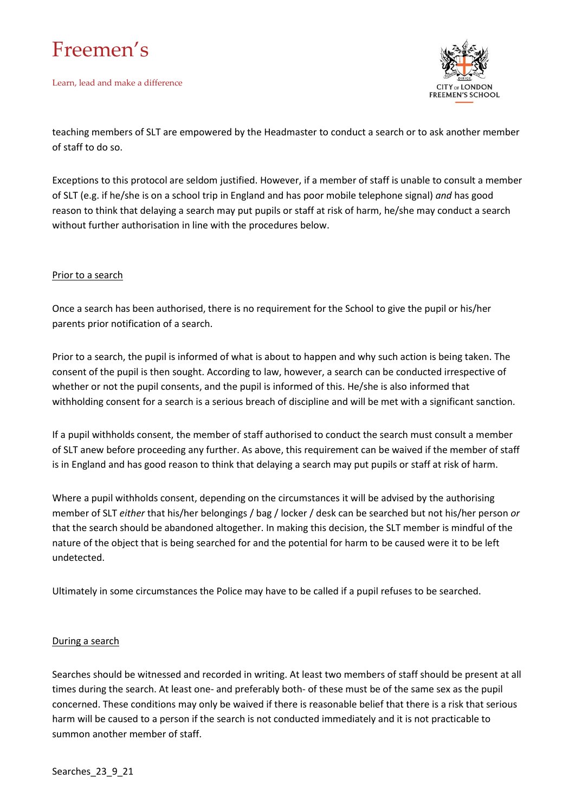Learn, lead and make a difference



teaching members of SLT are empowered by the Headmaster to conduct a search or to ask another member of staff to do so.

Exceptions to this protocol are seldom justified. However, if a member of staff is unable to consult a member of SLT (e.g. if he/she is on a school trip in England and has poor mobile telephone signal) *and* has good reason to think that delaying a search may put pupils or staff at risk of harm, he/she may conduct a search without further authorisation in line with the procedures below.

#### Prior to a search

Once a search has been authorised, there is no requirement for the School to give the pupil or his/her parents prior notification of a search.

Prior to a search, the pupil is informed of what is about to happen and why such action is being taken. The consent of the pupil is then sought. According to law, however, a search can be conducted irrespective of whether or not the pupil consents, and the pupil is informed of this. He/she is also informed that withholding consent for a search is a serious breach of discipline and will be met with a significant sanction.

If a pupil withholds consent, the member of staff authorised to conduct the search must consult a member of SLT anew before proceeding any further. As above, this requirement can be waived if the member of staff is in England and has good reason to think that delaying a search may put pupils or staff at risk of harm.

Where a pupil withholds consent, depending on the circumstances it will be advised by the authorising member of SLT *either* that his/her belongings / bag / locker / desk can be searched but not his/her person *or* that the search should be abandoned altogether. In making this decision, the SLT member is mindful of the nature of the object that is being searched for and the potential for harm to be caused were it to be left undetected.

Ultimately in some circumstances the Police may have to be called if a pupil refuses to be searched.

#### During a search

Searches should be witnessed and recorded in writing. At least two members of staff should be present at all times during the search. At least one- and preferably both- of these must be of the same sex as the pupil concerned. These conditions may only be waived if there is reasonable belief that there is a risk that serious harm will be caused to a person if the search is not conducted immediately and it is not practicable to summon another member of staff.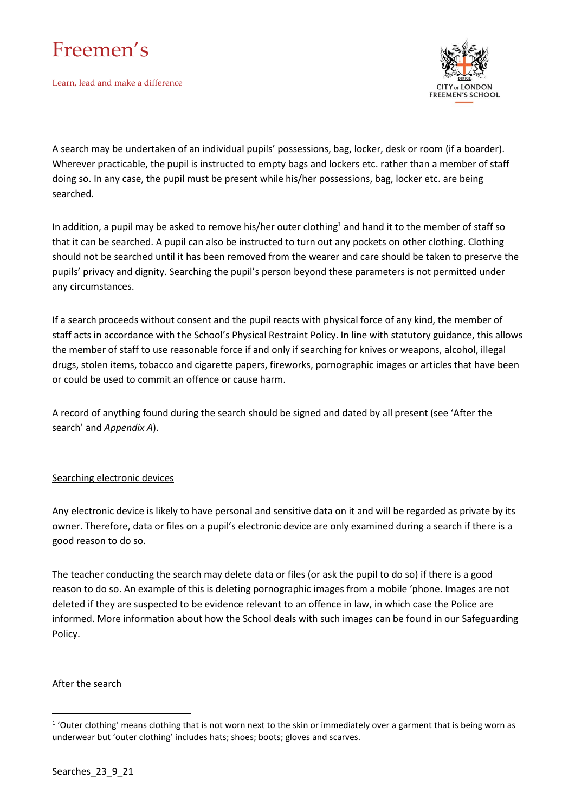

Learn, lead and make a difference



A search may be undertaken of an individual pupils' possessions, bag, locker, desk or room (if a boarder). Wherever practicable, the pupil is instructed to empty bags and lockers etc. rather than a member of staff doing so. In any case, the pupil must be present while his/her possessions, bag, locker etc. are being searched.

In addition, a pupil may be asked to remove his/her outer clothing<sup>1</sup> and hand it to the member of staff so that it can be searched. A pupil can also be instructed to turn out any pockets on other clothing. Clothing should not be searched until it has been removed from the wearer and care should be taken to preserve the pupils' privacy and dignity. Searching the pupil's person beyond these parameters is not permitted under any circumstances.

If a search proceeds without consent and the pupil reacts with physical force of any kind, the member of staff acts in accordance with the School's Physical Restraint Policy. In line with statutory guidance, this allows the member of staff to use reasonable force if and only if searching for knives or weapons, alcohol, illegal drugs, stolen items, tobacco and cigarette papers, fireworks, pornographic images or articles that have been or could be used to commit an offence or cause harm.

A record of anything found during the search should be signed and dated by all present (see 'After the search' and *Appendix A*).

#### Searching electronic devices

Any electronic device is likely to have personal and sensitive data on it and will be regarded as private by its owner. Therefore, data or files on a pupil's electronic device are only examined during a search if there is a good reason to do so.

The teacher conducting the search may delete data or files (or ask the pupil to do so) if there is a good reason to do so. An example of this is deleting pornographic images from a mobile 'phone. Images are not deleted if they are suspected to be evidence relevant to an offence in law, in which case the Police are informed. More information about how the School deals with such images can be found in our Safeguarding Policy.

#### After the search

 $1$  'Outer clothing' means clothing that is not worn next to the skin or immediately over a garment that is being worn as underwear but 'outer clothing' includes hats; shoes; boots; gloves and scarves.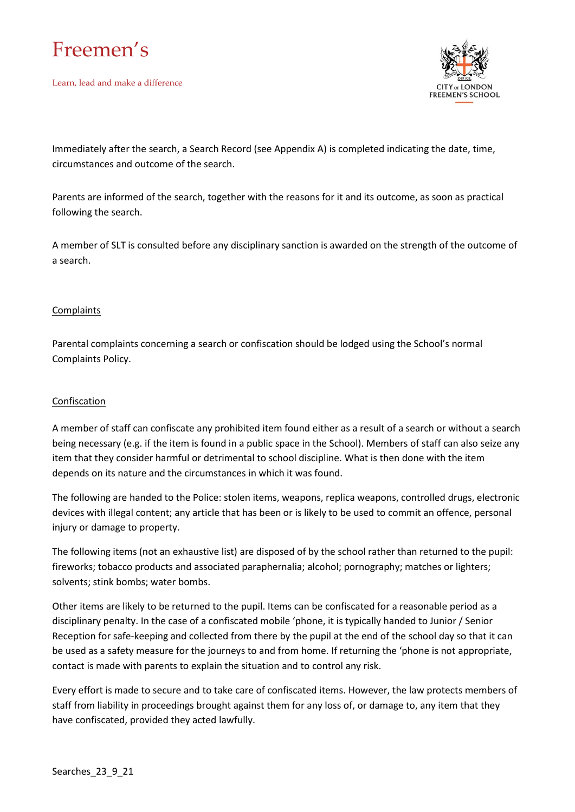

Learn, lead and make a difference



Immediately after the search, a Search Record (see Appendix A) is completed indicating the date, time, circumstances and outcome of the search.

Parents are informed of the search, together with the reasons for it and its outcome, as soon as practical following the search.

A member of SLT is consulted before any disciplinary sanction is awarded on the strength of the outcome of a search.

#### **Complaints**

Parental complaints concerning a search or confiscation should be lodged using the School's normal Complaints Policy.

#### **Confiscation**

A member of staff can confiscate any prohibited item found either as a result of a search or without a search being necessary (e.g. if the item is found in a public space in the School). Members of staff can also seize any item that they consider harmful or detrimental to school discipline. What is then done with the item depends on its nature and the circumstances in which it was found.

The following are handed to the Police: stolen items, weapons, replica weapons, controlled drugs, electronic devices with illegal content; any article that has been or is likely to be used to commit an offence, personal injury or damage to property.

The following items (not an exhaustive list) are disposed of by the school rather than returned to the pupil: fireworks; tobacco products and associated paraphernalia; alcohol; pornography; matches or lighters; solvents; stink bombs; water bombs.

Other items are likely to be returned to the pupil. Items can be confiscated for a reasonable period as a disciplinary penalty. In the case of a confiscated mobile 'phone, it is typically handed to Junior / Senior Reception for safe-keeping and collected from there by the pupil at the end of the school day so that it can be used as a safety measure for the journeys to and from home. If returning the 'phone is not appropriate, contact is made with parents to explain the situation and to control any risk.

Every effort is made to secure and to take care of confiscated items. However, the law protects members of staff from liability in proceedings brought against them for any loss of, or damage to, any item that they have confiscated, provided they acted lawfully.